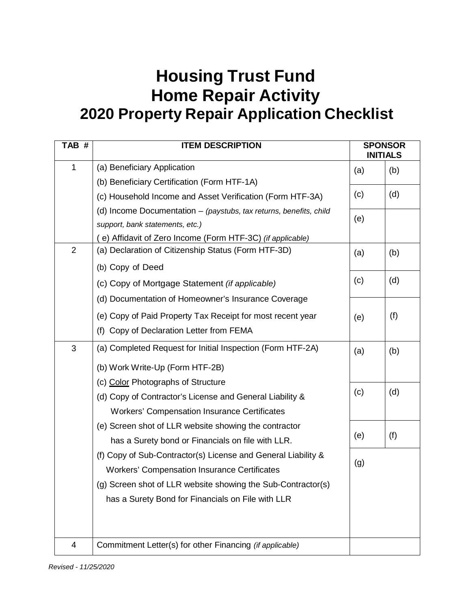## **Housing Trust Fund Home Repair Activity 2020 Property Repair Application Checklist**

| TAB #          | <b>ITEM DESCRIPTION</b>                                              | <b>SPONSOR</b><br><b>INITIALS</b> |     |
|----------------|----------------------------------------------------------------------|-----------------------------------|-----|
| 1              | (a) Beneficiary Application                                          | (a)                               | (b) |
|                | (b) Beneficiary Certification (Form HTF-1A)                          |                                   |     |
|                | (c) Household Income and Asset Verification (Form HTF-3A)            | (c)                               | (d) |
|                | (d) Income Documentation $-$ (paystubs, tax returns, benefits, child |                                   |     |
|                | support, bank statements, etc.)                                      | (e)                               |     |
|                | (e) Affidavit of Zero Income (Form HTF-3C) (if applicable)           |                                   |     |
| $\overline{2}$ | (a) Declaration of Citizenship Status (Form HTF-3D)                  | (a)                               | (b) |
|                | (b) Copy of Deed                                                     |                                   |     |
|                | (c) Copy of Mortgage Statement (if applicable)                       | (c)                               | (d) |
|                | (d) Documentation of Homeowner's Insurance Coverage                  |                                   |     |
|                | (e) Copy of Paid Property Tax Receipt for most recent year           | (e)                               | (f) |
|                | (f) Copy of Declaration Letter from FEMA                             |                                   |     |
| 3              | (a) Completed Request for Initial Inspection (Form HTF-2A)           | (a)                               | (b) |
|                | (b) Work Write-Up (Form HTF-2B)                                      |                                   |     |
|                | (c) Color Photographs of Structure                                   |                                   |     |
|                | (d) Copy of Contractor's License and General Liability &             | (c)                               | (d) |
|                | <b>Workers' Compensation Insurance Certificates</b>                  |                                   |     |
|                | (e) Screen shot of LLR website showing the contractor                |                                   |     |
|                | has a Surety bond or Financials on file with LLR.                    | (e)                               | (f) |
|                | (f) Copy of Sub-Contractor(s) License and General Liability &        | (g)                               |     |
|                | <b>Workers' Compensation Insurance Certificates</b>                  |                                   |     |
|                | (g) Screen shot of LLR website showing the Sub-Contractor(s)         |                                   |     |
|                | has a Surety Bond for Financials on File with LLR                    |                                   |     |
|                |                                                                      |                                   |     |
|                |                                                                      |                                   |     |
| $\overline{4}$ | Commitment Letter(s) for other Financing (if applicable)             |                                   |     |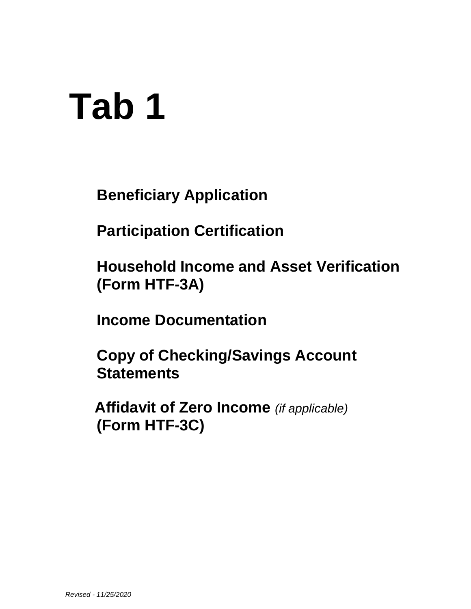## **Tab 1**

**Beneficiary Application**

**Participation Certification**

**Household Income and Asset Verification (Form HTF-3A)**

**Income Documentation**

**Copy of Checking/Savings Account Statements**

**Affidavit of Zero Income** *(if applicable)* **(Form HTF-3C)**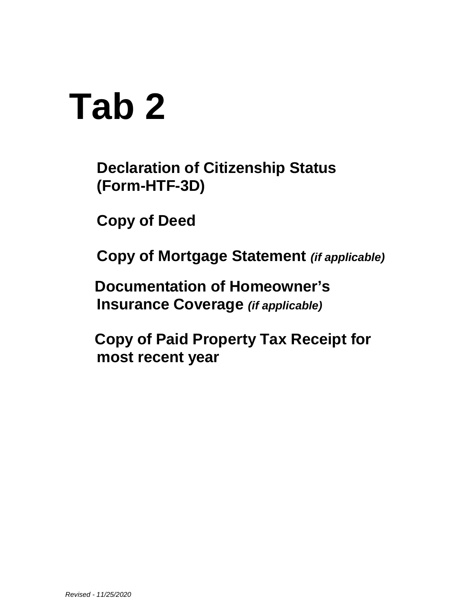## **Tab 2**

**Declaration of Citizenship Status (Form-HTF-3D)**

**Copy of Deed**

**Copy of Mortgage Statement** *(if applicable)*

**Documentation of Homeowner's Insurance Coverage** *(if applicable)*

**Copy of Paid Property Tax Receipt for most recent year**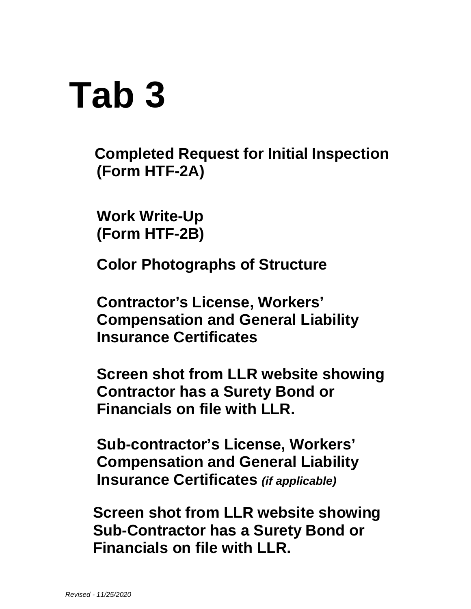## **Tab 3**

**Completed Request for Initial Inspection (Form HTF-2A)**

**Work Write-Up (Form HTF-2B)**

**Color Photographs of Structure**

**Contractor's License, Workers' Compensation and General Liability Insurance Certificates**

**Screen shot from LLR website showing Contractor has a Surety Bond or Financials on file with LLR.**

**Sub-contractor's License, Workers' Compensation and General Liability Insurance Certificates** *(if applicable)*

**Screen shot from LLR website showing Sub-Contractor has a Surety Bond or Financials on file with LLR.**